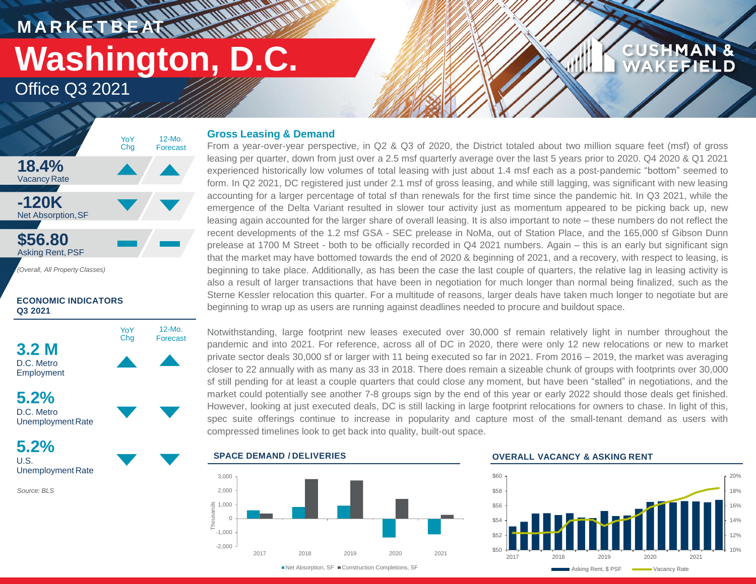**MARKETBEAT MUNICIPAL** 

# **Washington, D.C.**

12-Mo. Forecast

Office Q3 2021



### **ECONOMIC INDICATORS Q3 2021**



**5.2%** D.C. Metro Unemployment Rate

**5.2%** U.S. Unemployment Rate

*Source: BLS*

### **Gross Leasing & Demand**

From a year-over-year perspective, in Q2 & Q3 of 2020, the District totaled about two million square feet (msf) of gross leasing per quarter, down from just over a 2.5 msf quarterly average over the last 5 years prior to 2020. Q4 2020 & Q1 2021 experienced historically low volumes of total leasing with just about 1.4 msf each as a post-pandemic "bottom" seemed to form. In Q2 2021, DC registered just under 2.1 msf of gross leasing, and while still lagging, was significant with new leasing accounting for a larger percentage of total sf than renewals for the first time since the pandemic hit. In Q3 2021, while the emergence of the Delta Variant resulted in slower tour activity just as momentum appeared to be picking back up, new leasing again accounted for the larger share of overall leasing. It is also important to note – these numbers do not reflect the recent developments of the 1.2 msf GSA - SEC prelease in NoMa, out of Station Place, and the 165,000 sf Gibson Dunn prelease at 1700 M Street - both to be officially recorded in Q4 2021 numbers. Again – this is an early but significant sign that the market may have bottomed towards the end of 2020 & beginning of 2021, and a recovery, with respect to leasing, is beginning to take place. Additionally, as has been the case the last couple of quarters, the relative lag in leasing activity is also a result of larger transactions that have been in negotiation for much longer than normal being finalized, such as the Sterne Kessler relocation this quarter. For a multitude of reasons, larger deals have taken much longer to negotiate but are beginning to wrap up as users are running against deadlines needed to procure and buildout space.

Notwithstanding, large footprint new leases executed over 30,000 sf remain relatively light in number throughout the pandemic and into 2021. For reference, across all of DC in 2020, there were only 12 new relocations or new to market private sector deals 30,000 sf or larger with 11 being executed so far in 2021. From 2016 – 2019, the market was averaging closer to 22 annually with as many as 33 in 2018. There does remain a sizeable chunk of groups with footprints over 30,000 sf still pending for at least a couple quarters that could close any moment, but have been "stalled" in negotiations, and the market could potentially see another 7-8 groups sign by the end of this year or early 2022 should those deals get finished. However, looking at just executed deals, DC is still lacking in large footprint relocations for owners to chase. In light of this, spec suite offerings continue to increase in popularity and capture most of the small-tenant demand as users with compressed timelines look to get back into quality, built-out space.





### **OVERALL VACANCY & ASKING RENT**



**CUSHMAN &** 

**KEFIELD**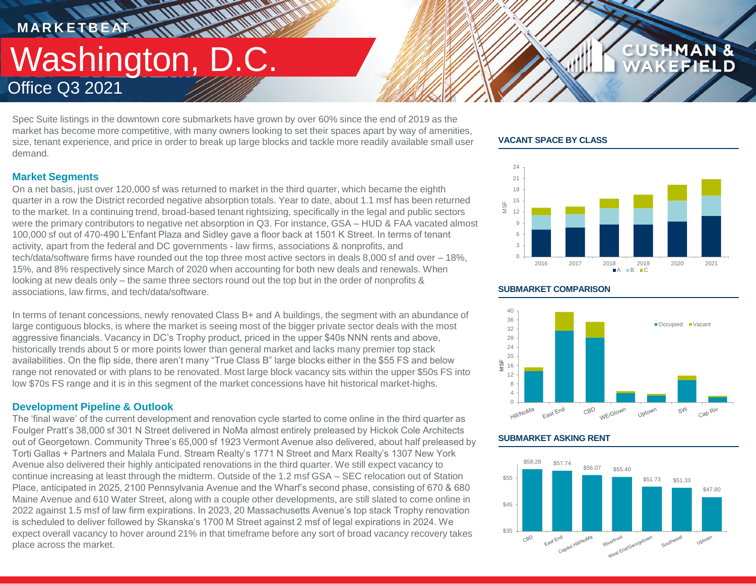### **MARKETBEAT 11.11 IN IN INC. TENERAL MARKET** Washington, D.C. Office Q3 2021

Spec Suite listings in the downtown core submarkets have grown by over 60% since the end of 2019 as the market has become more competitive, with many owners looking to set their spaces apart by way of amenities, size, tenant experience, and price in order to break up large blocks and tackle more readily available small user demand.

### **Market Segments**

On a net basis, just over 120,000 sf was returned to market in the third quarter, which became the eighth quarter in a row the District recorded negative absorption totals. Year to date, about 1.1 msf has been returned to the market. In a continuing trend, broad-based tenant rightsizing, specifically in the legal and public sectors were the primary contributors to negative net absorption in Q3. For instance, GSA – HUD & FAA vacated almost 100,000 sf out of 470-490 L'Enfant Plaza and Sidley gave a floor back at 1501 K Street. In terms of tenant activity, apart from the federal and DC governments - law firms, associations & nonprofits, and tech/data/software firms have rounded out the top three most active sectors in deals 8,000 sf and over – 18%, 15%, and 8% respectively since March of 2020 when accounting for both new deals and renewals. When looking at new deals only – the same three sectors round out the top but in the order of nonprofits & associations, law firms, and tech/data/software.

In terms of tenant concessions, newly renovated Class B+ and A buildings, the segment with an abundance of large contiguous blocks, is where the market is seeing most of the bigger private sector deals with the most aggressive financials. Vacancy in DC's Trophy product, priced in the upper \$40s NNN rents and above, historically trends about 5 or more points lower than general market and lacks many premier top stack availabilities. On the flip side, there aren't many "True Class B" large blocks either in the \$55 FS and below range not renovated or with plans to be renovated. Most large block vacancy sits within the upper \$50s FS into low \$70s FS range and it is in this segment of the market concessions have hit historical market-highs.

### **Development Pipeline & Outlook**

The 'final wave' of the current development and renovation cycle started to come online in the third quarter as Foulger Pratt's 38,000 sf 301 N Street delivered in NoMa almost entirely preleased by Hickok Cole Architects out of Georgetown. Community Three's 65,000 sf 1923 Vermont Avenue also delivered, about half preleased by Torti Gallas + Partners and Malala Fund. Stream Realty's 1771 N Street and Marx Realty's 1307 New York Avenue also delivered their highly anticipated renovations in the third quarter. We still expect vacancy to continue increasing at least through the midterm. Outside of the 1.2 msf GSA – SEC relocation out of Station Place, anticipated in 2025, 2100 Pennsylvania Avenue and the Wharf's second phase, consisting of 670 & 680 Maine Avenue and 610 Water Street, along with a couple other developments, are still slated to come online in 2022 against 1.5 msf of law firm expirations. In 2023, 20 Massachusetts Avenue's top stack Trophy renovation is scheduled to deliver followed by Skanska's 1700 M Street against 2 msf of legal expirations in 2024. We expect overall vacancy to hover around 21% in that timeframe before any sort of broad vacancy recovery takes place across the market.

### **VACANT SPACE BY CLASS**



**CUSHMAN &** 

FFIELD



### **SUBMARKET ASKING RENT**



### **SUBMARKET COMPARISON**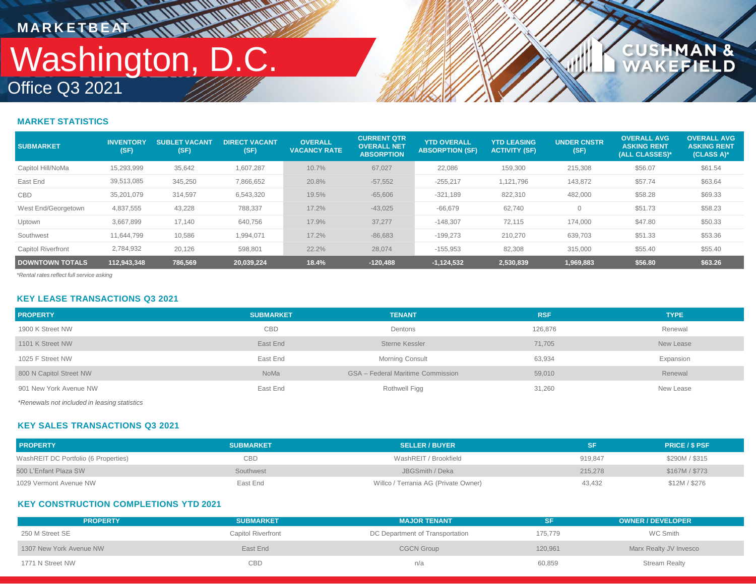## Office Q3 2021 Washington, D.C. **MARKETBEAT ANTIFORM**

**WWW** 

### **CUSHMAN &<br>WAKEFIELD**

### **MARKET STATISTICS**

| <b>SUBMARKET</b>          | <b>INVENTORY</b><br>(SF) | <b>SUBLET VACANT</b><br>(SF) | <b>DIRECT VACANT</b><br>(SF) | <b>OVERALL</b><br><b>VACANCY RATE</b> | <b>CURRENT QTR</b><br><b>OVERALL NET</b><br><b>ABSORPTION</b> | <b>YTD OVERALL</b><br><b>ABSORPTION (SF)</b> | <b>YTD LEASING</b><br><b>ACTIVITY (SF)</b> | <b>UNDER CNSTR</b><br>(SF) | <b>OVERALL AVG</b><br><b>ASKING RENT</b><br>(ALL CLASSES)* | <b>OVERALL AVG</b><br><b>ASKING RENT</b><br>(CLASS A)* |
|---------------------------|--------------------------|------------------------------|------------------------------|---------------------------------------|---------------------------------------------------------------|----------------------------------------------|--------------------------------------------|----------------------------|------------------------------------------------------------|--------------------------------------------------------|
| Capitol Hill/NoMa         | 15,293,999               | 35,642                       | 1,607,287                    | 10.7%                                 | 67,027                                                        | 22,086                                       | 159,300                                    | 215,308                    | \$56.07                                                    | \$61.54                                                |
| East End                  | 39,513,085               | 345,250                      | 7,866,652                    | 20.8%                                 | $-57,552$                                                     | $-255,217$                                   | 1,121,796                                  | 143,872                    | \$57.74                                                    | \$63.64                                                |
| <b>CBD</b>                | 35.201.079               | 314.597                      | 6,543,320                    | 19.5%                                 | $-65,606$                                                     | $-321,189$                                   | 822,310                                    | 482,000                    | \$58.28                                                    | \$69.33                                                |
| West End/Georgetown       | 4,837,555                | 43.228                       | 788,337                      | 17.2%                                 | $-43.025$                                                     | $-66.679$                                    | 62.740                                     | $\overline{0}$             | \$51.73                                                    | \$58.23                                                |
| Uptown                    | 3.667.899                | 17,140                       | 640,756                      | 17.9%                                 | 37.277                                                        | $-148.307$                                   | 72.115                                     | 174,000                    | \$47.80                                                    | \$50.33                                                |
| Southwest                 | 11.644.799               | 10,586                       | 1,994,071                    | 17.2%                                 | $-86,683$                                                     | $-199,273$                                   | 210,270                                    | 639,703                    | \$51.33                                                    | \$53.36                                                |
| <b>Capitol Riverfront</b> | 2,784,932                | 20,126                       | 598,801                      | 22.2%                                 | 28,074                                                        | $-155,953$                                   | 82,308                                     | 315,000                    | \$55.40                                                    | \$55.40                                                |
| <b>DOWNTOWN TOTALS</b>    | 112.943.348              | 786.569                      | 20.039.224                   | 18.4%                                 | $-120,488$                                                    | $-1,124,532$                                 | 2,530,839                                  | 1,969,883                  | \$56.80                                                    | \$63.26                                                |

*\*Rental rates reflect full service asking*

### **KEY LEASE TRANSACTIONS Q3 2021**

| <b>PROPERTY</b>                            | <b>SUBMARKET</b> | <b>TENANT</b>                            | <b>RSF</b> | <b>TYPE</b> |
|--------------------------------------------|------------------|------------------------------------------|------------|-------------|
| 1900 K Street NW                           | <b>CBD</b>       | Dentons                                  | 126,876    | Renewal     |
| 1101 K Street NW                           | East End         | <b>Sterne Kessler</b>                    | 71,705     | New Lease   |
| 1025 F Street NW                           | East End         | <b>Morning Consult</b>                   | 63,934     | Expansion   |
| 800 N Capitol Street NW                    | NoMa             | <b>GSA</b> – Federal Maritime Commission | 59,010     | Renewal     |
| 901 New York Avenue NW                     | East End         | Rothwell Figg                            | 31,260     | New Lease   |
| *Department included in Icacina statistics |                  |                                          |            |             |

*\*Renewals not included in leasing statistics*

### **KEY SALES TRANSACTIONS Q3 2021**

| <b>PROPERTY</b>                      | <b>SUBMARKET</b> | <b>SELLER / BUYER</b>                |         | <b>PRICE / \$ PSF</b> |
|--------------------------------------|------------------|--------------------------------------|---------|-----------------------|
| WashREIT DC Portfolio (6 Properties) | CBD              | WashREIT / Brookfield                | 919.847 | \$290M / \$315        |
| 500 L'Enfant Plaza SW                | Southwest        | JBGSmith / Deka                      | 215.278 | \$167M / \$773        |
| 1029 Vermont Avenue NW               | East End         | Willco / Terrania AG (Private Owner) | 43,432  | \$12M / \$276         |

### **KEY CONSTRUCTION COMPLETIONS YTD 2021**

| <b>PROPERTY</b>         | <b>SUBMARKET</b>          | <b>MAJOR TENANT</b>             | <b>SF</b> | <b>OWNER / DEVELOPER</b> |
|-------------------------|---------------------------|---------------------------------|-----------|--------------------------|
| 250 M Street SE         | <b>Capitol Riverfront</b> | DC Department of Transportation | 175.779   | WC Smith                 |
| 1307 New York Avenue NW | East End                  | <b>CGCN Group</b>               | 120,961   | Marx Realty JV Invesco   |
| 1771 N Street NW        | CBD                       | n/a                             | 60,859    | <b>Stream Realty</b>     |